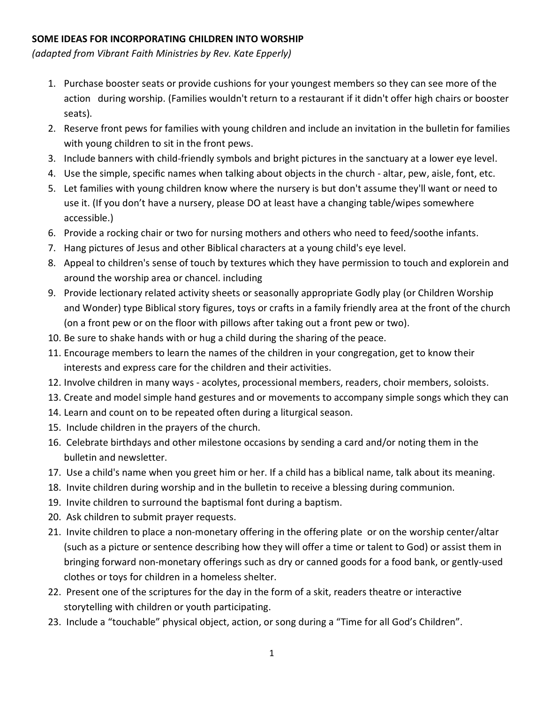## **SOME IDEAS FOR INCORPORATING CHILDREN INTO WORSHIP**

*(adapted from Vibrant Faith Ministries by Rev. Kate Epperly)*

- 1. Purchase booster seats or provide cushions for your youngest members so they can see more of the action during worship. (Families wouldn't return to a restaurant if it didn't offer high chairs or booster seats).
- 2. Reserve front pews for families with young children and include an invitation in the bulletin for families with young children to sit in the front pews.
- 3. Include banners with child-friendly symbols and bright pictures in the sanctuary at a lower eye level.
- 4. Use the simple, specific names when talking about objects in the church altar, pew, aisle, font, etc.
- 5. Let families with young children know where the nursery is but don't assume they'll want or need to use it. (If you don't have a nursery, please DO at least have a changing table/wipes somewhere accessible.)
- 6. Provide a rocking chair or two for nursing mothers and others who need to feed/soothe infants.
- 7. Hang pictures of Jesus and other Biblical characters at a young child's eye level.
- 8. Appeal to children's sense of touch by textures which they have permission to touch and explorein and around the worship area or chancel. including
- 9. Provide lectionary related activity sheets or seasonally appropriate Godly play (or Children Worship and Wonder) type Biblical story figures, toys or crafts in a family friendly area at the front of the church (on a front pew or on the floor with pillows after taking out a front pew or two).
- 10. Be sure to shake hands with or hug a child during the sharing of the peace.
- 11. Encourage members to learn the names of the children in your congregation, get to know their interests and express care for the children and their activities.
- 12. Involve children in many ways acolytes, processional members, readers, choir members, soloists.
- 13. Create and model simple hand gestures and or movements to accompany simple songs which they can
- 14. Learn and count on to be repeated often during a liturgical season.
- 15. Include children in the prayers of the church.
- 16. Celebrate birthdays and other milestone occasions by sending a card and/or noting them in the bulletin and newsletter.
- 17. Use a child's name when you greet him or her. If a child has a biblical name, talk about its meaning.
- 18. Invite children during worship and in the bulletin to receive a blessing during communion.
- 19. Invite children to surround the baptismal font during a baptism.
- 20. Ask children to submit prayer requests.
- 21. Invite children to place a non-monetary offering in the offering plate or on the worship center/altar (such as a picture or sentence describing how they will offer a time or talent to God) or assist them in bringing forward non-monetary offerings such as dry or canned goods for a food bank, or gently-used clothes or toys for children in a homeless shelter.
- 22. Present one of the scriptures for the day in the form of a skit, readers theatre or interactive storytelling with children or youth participating.
- 23. Include a "touchable" physical object, action, or song during a "Time for all God's Children".